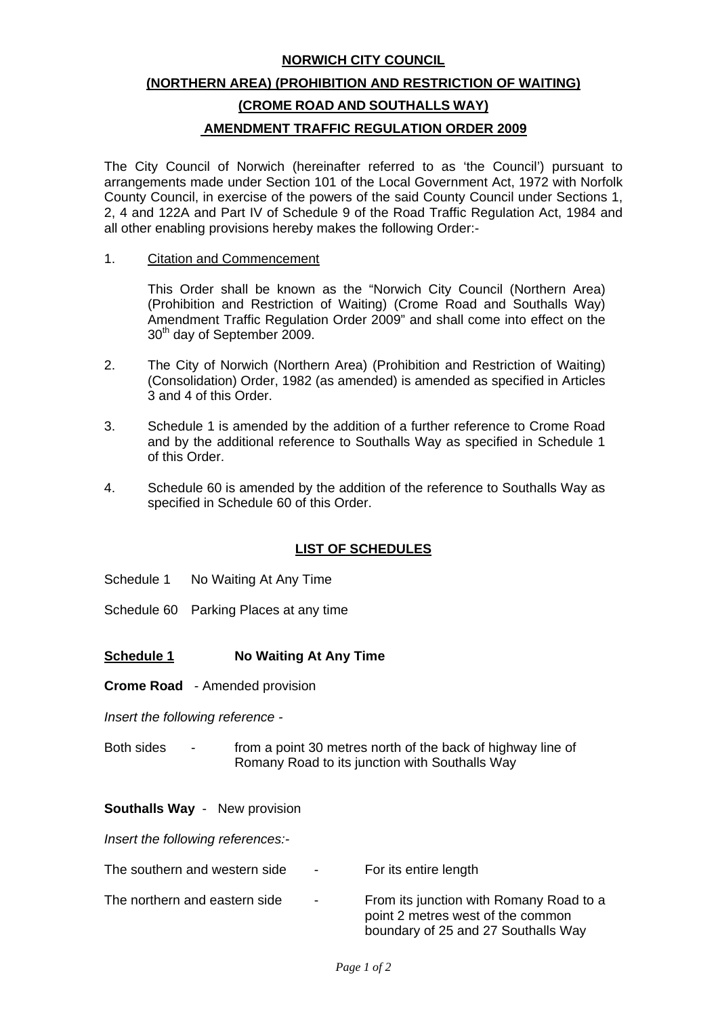#### **NORWICH CITY COUNCIL**

# **(NORTHERN AREA) (PROHIBITION AND RESTRICTION OF WAITING) (CROME ROAD AND SOUTHALLS WAY) AMENDMENT TRAFFIC REGULATION ORDER 2009**

The City Council of Norwich (hereinafter referred to as 'the Council') pursuant to arrangements made under Section 101 of the Local Government Act, 1972 with Norfolk County Council, in exercise of the powers of the said County Council under Sections 1, 2, 4 and 122A and Part IV of Schedule 9 of the Road Traffic Regulation Act, 1984 and all other enabling provisions hereby makes the following Order:-

1. Citation and Commencement

 This Order shall be known as the "Norwich City Council (Northern Area) (Prohibition and Restriction of Waiting) (Crome Road and Southalls Way) Amendment Traffic Regulation Order 2009" and shall come into effect on the 30<sup>th</sup> day of September 2009.

- 2. The City of Norwich (Northern Area) (Prohibition and Restriction of Waiting) (Consolidation) Order, 1982 (as amended) is amended as specified in Articles 3 and 4 of this Order.
- 3. Schedule 1 is amended by the addition of a further reference to Crome Road and by the additional reference to Southalls Way as specified in Schedule 1 of this Order.
- 4. Schedule 60 is amended by the addition of the reference to Southalls Way as specified in Schedule 60 of this Order.

## **LIST OF SCHEDULES**

- Schedule 1 No Waiting At Any Time
- Schedule 60 Parking Places at any time

#### **Schedule 1 No Waiting At Any Time**

**Crome Road** - Amended provision

*Insert the following reference -* 

Both sides - from a point 30 metres north of the back of highway line of Romany Road to its junction with Southalls Way

#### **Southalls Way** - New provision

*Insert the following references:-* 

| The southern and western side | $\sim$ 100 $\mu$ | For its entire length                                                                                               |
|-------------------------------|------------------|---------------------------------------------------------------------------------------------------------------------|
| The northern and eastern side | $\sim$ 100 $\mu$ | From its junction with Romany Road to a<br>point 2 metres west of the common<br>boundary of 25 and 27 Southalls Way |